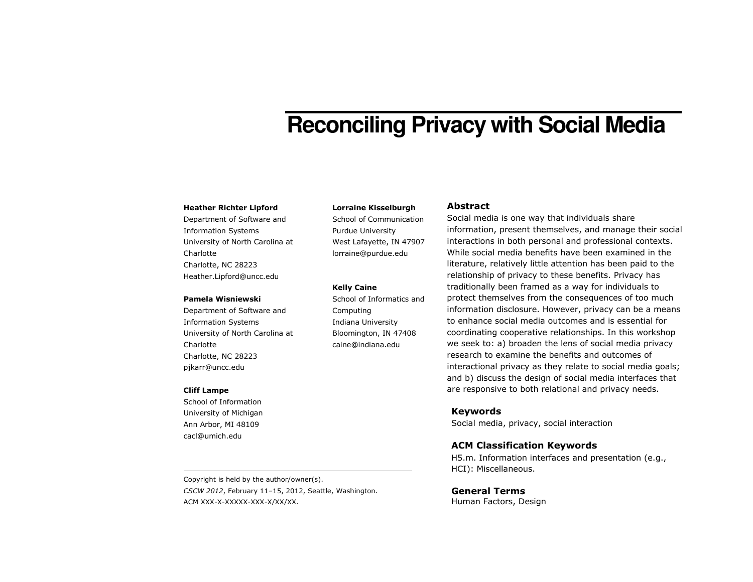# **Reconciling Privacy with Social Media**

#### Heather Richter Lipford

Department of Software and Information Systems University of North Carolina at **Charlotte** Charlotte, NC 28223 Heather.Lipford@uncc.edu

#### Pamela Wisniewski

Department of Software and Information Systems University of North Carolina at Charlotte Charlotte, NC 28223 pjkarr@uncc.edu

#### Cliff Lampe

School of Information University of Michigan Ann Arbor, MI 48109 cacl@umich.edu

Copyright is held by the author/owner(s). CSCW 2012, February 11–15, 2012, Seattle, Washington. ACM XXX-X-XXXXX-XXX-X/XX/XX.

#### Lorraine Kisselburgh

School of Communication Purdue University West Lafayette, IN 47907 lorraine@purdue.edu

#### Kelly Caine

School of Informatics and Computing Indiana University Bloomington, IN 47408 caine@indiana.edu

## Abstract

Social media is one way that individuals share information, present themselves, and manage their social interactions in both personal and professional contexts. While social media benefits have been examined in the literature, relatively little attention has been paid to the relationship of privacy to these benefits. Privacy has traditionally been framed as a way for individuals to protect themselves from the consequences of too much information disclosure. However, privacy can be a means to enhance social media outcomes and is essential for coordinating cooperative relationships. In this workshop we seek to: a) broaden the lens of social media privacy research to examine the benefits and outcomes of interactional privacy as they relate to social media goals; and b) discuss the design of social media interfaces that are responsive to both relational and privacy needs.

## Keywords

Social media, privacy, social interaction

## ACM Classification Keywords

H5.m. Information interfaces and presentation (e.g., HCI): Miscellaneous.

## General Terms

Human Factors, Design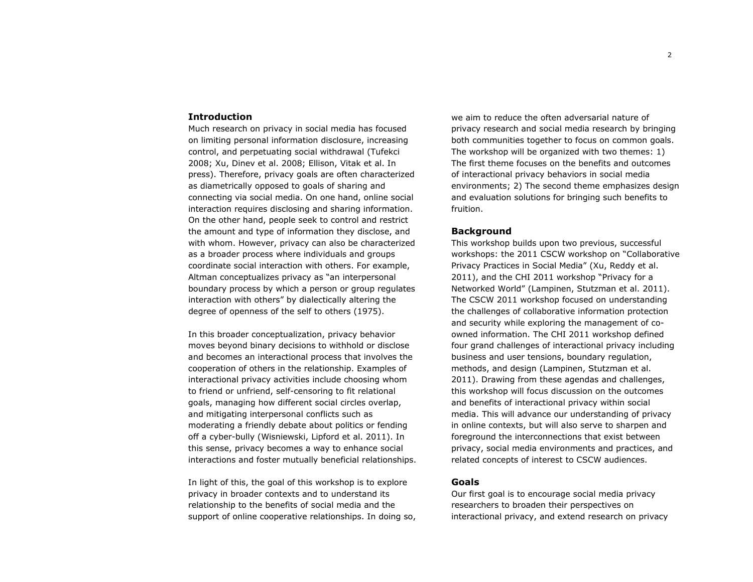#### Introduction

 Much research on privacy in social media has focused on limiting personal information disclosure, increasing control, and perpetuating social withdrawal (Tufekci 2008; Xu, Dinev et al. 2008; Ellison, Vitak et al. In press). Therefore, privacy goals are often characterized as diametrically opposed to goals of sharing and connecting via social media. On one hand, online social interaction requires disclosing and sharing information. On the other hand, people seek to control and restrict the amount and type of information they disclose, and with whom. However, privacy can also be characterized as a broader process where individuals and groups coordinate social interaction with others. For example, Altman conceptualizes privacy as "an interpersonal boundary process by which a person or group regulates interaction with others" by dialectically altering the degree of openness of the self to others (1975).

In this broader conceptualization, privacy behavior moves beyond binary decisions to withhold or disclose and becomes an interactional process that involves the cooperation of others in the relationship. Examples of interactional privacy activities include choosing whom to friend or unfriend, self-censoring to fit relational goals, managing how different social circles overlap, and mitigating interpersonal conflicts such as moderating a friendly debate about politics or fending off a cyber-bully (Wisniewski, Lipford et al. 2011). In this sense, privacy becomes a way to enhance socialinteractions and foster mutually beneficial relationships.

In light of this, the goal of this workshop is to explore privacy in broader contexts and to understand its relationship to the benefits of social media and the support of online cooperative relationships. In doing so,

we aim to reduce the often adversarial nature of privacy research and social media research by bringing both communities together to focus on common goals.The workshop will be organized with two themes: 1) The first theme focuses on the benefits and outcomes of interactional privacy behaviors in social media environments; 2) The second theme emphasizes designand evaluation solutions for bringing such benefits to fruition.

## Background

 This workshop builds upon two previous, successful workshops: the 2011 CSCW workshop on "CollaborativePrivacy Practices in Social Media" (Xu, Reddy et al. 2011), and the CHI 2011 workshop "Privacy for a Networked World" (Lampinen, Stutzman et al. 2011). The CSCW 2011 workshop focused on understanding the challenges of collaborative information protection and security while exploring the management of coowned information. The CHI 2011 workshop defined four grand challenges of interactional privacy including business and user tensions, boundary regulation, methods, and design (Lampinen, Stutzman et al. 2011). Drawing from these agendas and challenges, this workshop will focus discussion on the outcomesand benefits of interactional privacy within socialmedia. This will advance our understanding of privacy in online contexts, but will also serve to sharpen and foreground the interconnections that exist between privacy, social media environments and practices, and related concepts of interest to CSCW audiences.

## Goals

Our first goal is to encourage social media privacyresearchers to broaden their perspectives on interactional privacy, and extend research on privacy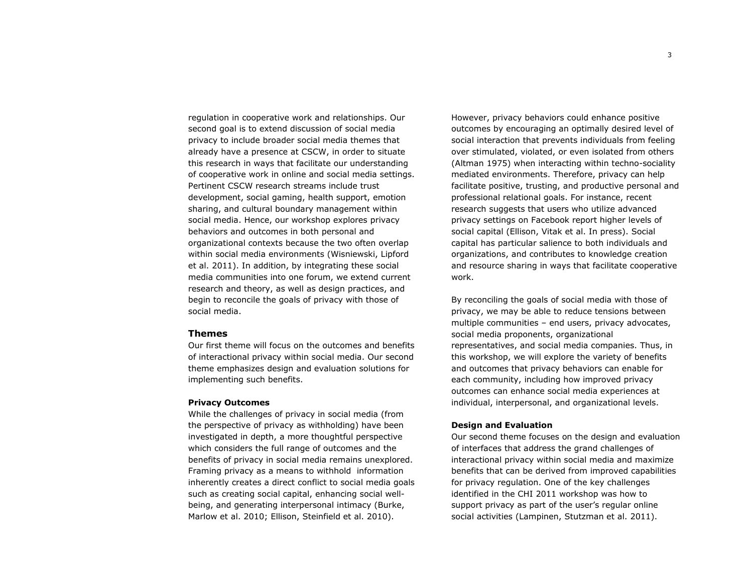regulation in cooperative work and relationships. Our second goal is to extend discussion of social media privacy to include broader social media themes thatalready have a presence at CSCW, in order to situate this research in ways that facilitate our understanding of cooperative work in online and social media settings. Pertinent CSCW research streams include trust development, social gaming, health support, emotionsharing, and cultural boundary management within social media. Hence, our workshop explores privacy behaviors and outcomes in both personal and organizational contexts because the two often overlap within social media environments (Wisniewski, Lipford et al. 2011). In addition, by integrating these social media communities into one forum, we extend currentresearch and theory, as well as design practices, and begin to reconcile the goals of privacy with those of social media.

#### Themes

 Our first theme will focus on the outcomes and benefits of interactional privacy within social media. Our second theme emphasizes design and evaluation solutions for implementing such benefits.

#### Privacy Outcomes

 While the challenges of privacy in social media (from the perspective of privacy as withholding) have been investigated in depth, a more thoughtful perspective which considers the full range of outcomes and the benefits of privacy in social media remains unexplored. Framing privacy as a means to withhold information inherently creates a direct conflict to social media goals such as creating social capital, enhancing social wellbeing, and generating interpersonal intimacy (Burke, Marlow et al. 2010; Ellison, Steinfield et al. 2010).

However, privacy behaviors could enhance positive outcomes by encouraging an optimally desired level of social interaction that prevents individuals from feeling over stimulated, violated, or even isolated from others (Altman 1975) when interacting within techno-sociality mediated environments. Therefore, privacy can help facilitate positive, trusting, and productive personal and professional relational goals. For instance, recent research suggests that users who utilize advanced privacy settings on Facebook report higher levels of social capital (Ellison, Vitak et al. In press). Social capital has particular salience to both individuals and organizations, and contributes to knowledge creation and resource sharing in ways that facilitate cooperative work.

By reconciling the goals of social media with those of privacy, we may be able to reduce tensions between multiple communities – end users, privacy advocates, social media proponents, organizational representatives, and social media companies. Thus, in this workshop, we will explore the variety of benefits and outcomes that privacy behaviors can enable for each community, including how improved privacy outcomes can enhance social media experiences at individual, interpersonal, and organizational levels.

## Design and Evaluation

 Our second theme focuses on the design and evaluation of interfaces that address the grand challenges of interactional privacy within social media and maximize benefits that can be derived from improved capabilities for privacy regulation. One of the key challenges identified in the CHI 2011 workshop was how to support privacy as part of the user's regular online social activities (Lampinen, Stutzman et al. 2011).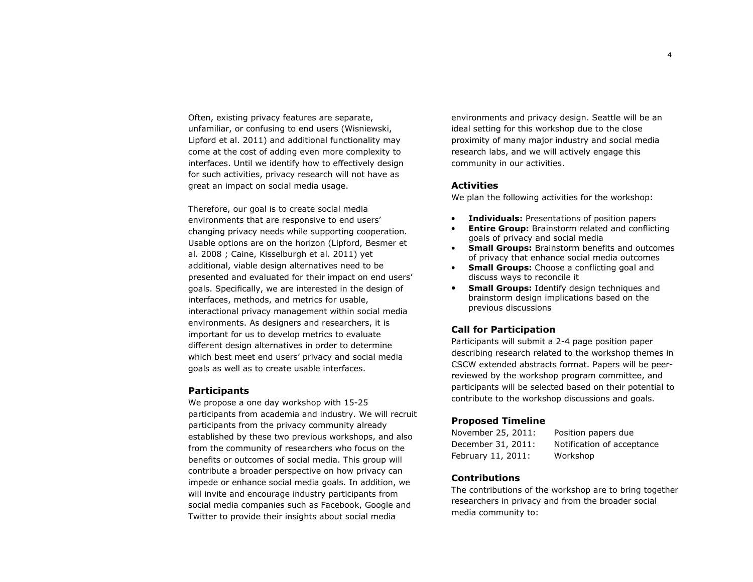Often, existing privacy features are separate, unfamiliar, or confusing to end users (Wisniewski, Lipford et al. 2011) and additional functionality may come at the cost of adding even more complexity to interfaces. Until we identify how to effectively design for such activities, privacy research will not have as great an impact on social media usage.

Therefore, our goal is to create social media environments that are responsive to end users' changing privacy needs while supporting cooperation. Usable options are on the horizon (Lipford, Besmer et al. 2008 ; Caine, Kisselburgh et al. 2011) yet additional, viable design alternatives need to be presented and evaluated for their impact on end users' goals. Specifically, we are interested in the design of interfaces, methods, and metrics for usable, interactional privacy management within social media environments. As designers and researchers, it is important for us to develop metrics to evaluate different design alternatives in order to determine which best meet end users' privacy and social mediagoals as well as to create usable interfaces.

## **Participants**

 We propose a one day workshop with 15-25 participants from academia and industry. We will recruit participants from the privacy community already established by these two previous workshops, and also from the community of researchers who focus on the benefits or outcomes of social media. This group will contribute a broader perspective on how privacy can impede or enhance social media goals. In addition, we will invite and encourage industry participants from social media companies such as Facebook, Google andTwitter to provide their insights about social media

environments and privacy design. Seattle will be anideal setting for this workshop due to the close proximity of many major industry and social media research labs, and we will actively engage this community in our activities.

## **Activities**

We plan the following activities for the workshop:

- •Individuals: Presentations of position papers
- •**Entire Group:** Brainstorm related and conflicting goals of privacy and social media
- **Small Groups:** Brainstorm benefits and outcomes •of privacy that enhance social media outcomes
- •**Small Groups:** Choose a conflicting goal and discuss ways to reconcile it
- **Small Groups:** Identify design techniques and •brainstorm design implications based on the previous discussions

## Call for Participation

 Participants will submit a 2-4 page position paper describing research related to the workshop themes in CSCW extended abstracts format. Papers will be peerreviewed by the workshop program committee, and participants will be selected based on their potential to contribute to the workshop discussions and goals.

## Proposed Timeline

November 25, 2011: Position papers due December 31, 2011: Notification of acceptance February 11, 2011: Workshop

## Contributions

The contributions of the workshop are to bring together researchers in privacy and from the broader social media community to: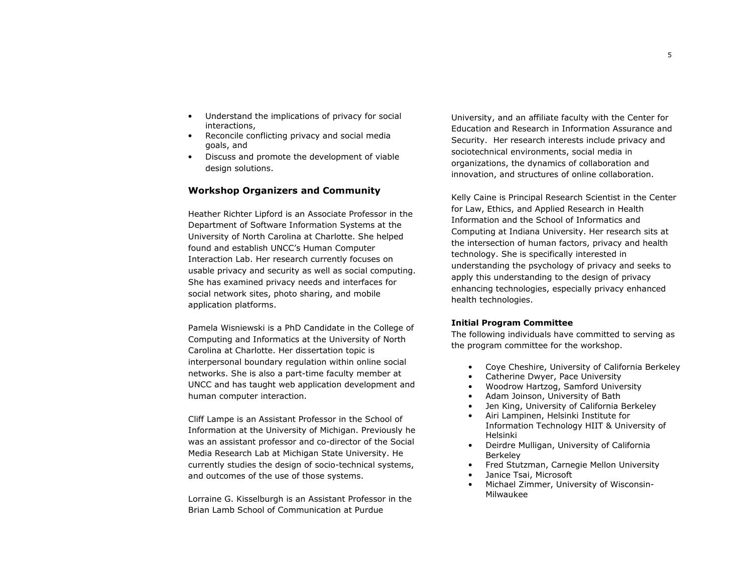- • Understand the implications of privacy for social interactions,
- Reconcile conflicting privacy and social media •goals, and
- Discuss and promote the development of viable design solutions.

# Workshop Organizers and Community

Heather Richter Lipford is an Associate Professor in the Department of Software Information Systems at the University of North Carolina at Charlotte. She helped found and establish UNCC's Human Computer Interaction Lab. Her research currently focuses on usable privacy and security as well as social computing. She has examined privacy needs and interfaces for social network sites, photo sharing, and mobile application platforms.

Pamela Wisniewski is a PhD Candidate in the College of Computing and Informatics at the University of North Carolina at Charlotte. Her dissertation topic is interpersonal boundary regulation within online social networks. She is also a part-time faculty member atUNCC and has taught web application development andhuman computer interaction.

Cliff Lampe is an Assistant Professor in the School of Information at the University of Michigan. Previously he was an assistant professor and co-director of the Social Media Research Lab at Michigan State University. He currently studies the design of socio-technical systems, and outcomes of the use of those systems.

Lorraine G. Kisselburgh is an Assistant Professor in the Brian Lamb School of Communication at Purdue

University, and an affiliate faculty with the Center for Education and Research in Information Assurance and Security. Her research interests include privacy and sociotechnical environments, social media in organizations, the dynamics of collaboration and innovation, and structures of online collaboration.

Kelly Caine is Principal Research Scientist in the Center for Law, Ethics, and Applied Research in Health Information and the School of Informatics and Computing at Indiana University. Her research sits at the intersection of human factors, privacy and health technology. She is specifically interested in understanding the psychology of privacy and seeks to apply this understanding to the design of privacy enhancing technologies, especially privacy enhancedhealth technologies.

#### Initial Program Committee

 The following individuals have committed to serving as the program committee for the workshop.

- •Coye Cheshire, University of California Berkeley
- •Catherine Dwyer, Pace University
- •Woodrow Hartzog, Samford University
- •Adam Joinson, University of Bath
- •Jen King, University of California Berkeley
- • Airi Lampinen, Helsinki Institute for Information Technology HIIT & University of Helsinki
- Deirdre Mulligan, University of California Berkeley
- Fred Stutzman, Carnegie Mellon University •
- •Janice Tsai, Microsoft
- • Michael Zimmer, University of Wisconsin-Milwaukee